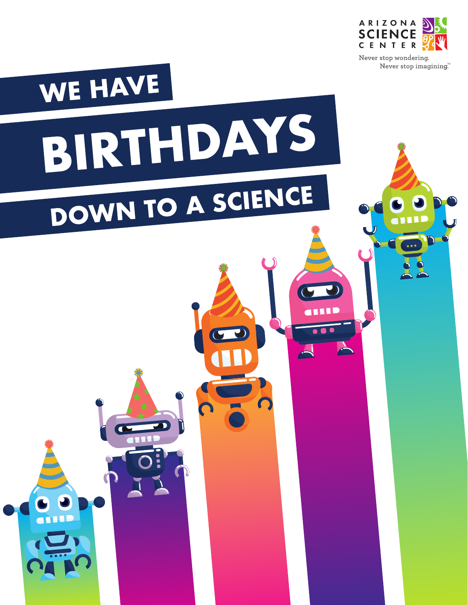

Never stop imagining.™

a 111 D

# WE HAVE BIRTHDAYS DOWN TO A SCIENCE